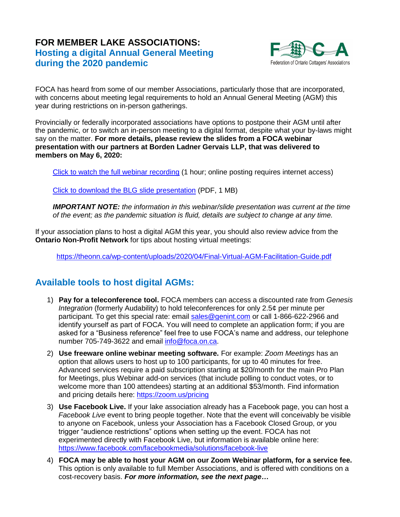# **FOR MEMBER LAKE ASSOCIATIONS: Hosting a digital Annual General Meeting during the 2020 pandemic**



FOCA has heard from some of our member Associations, particularly those that are incorporated, with concerns about meeting legal requirements to hold an Annual General Meeting (AGM) this year during restrictions on in-person gatherings.

Provincially or federally incorporated associations have options to postpone their AGM until after the pandemic, or to switch an in-person meeting to a digital format, despite what your by-laws might say on the matter. **For more details, please review the slides from a FOCA webinar presentation with our partners at Borden Ladner Gervais LLP, that was delivered to members on May 6, 2020:**

[Click to watch the full webinar recording](https://foca.on.ca/wp-content/uploads/2020/05/zoom_0_May6_2020.mp4) (1 hour; online posting requires internet access)

[Click to download the BLG slide presentation](https://foca.on.ca/wp-content/uploads/2020/03/BLG-slides-Governing-Lake-Associations-During-the-Pandemic-111619164.1-Kat-Carre-May2020.pdf) (PDF, 1 MB)

*IMPORTANT NOTE: the information in this webinar/slide presentation was current at the time of the event; as the pandemic situation is fluid, details are subject to change at any time.*

If your association plans to host a digital AGM this year, you should also review advice from the **Ontario Non-Profit Network** for tips about hosting virtual meetings:

<https://theonn.ca/wp-content/uploads/2020/04/Final-Virtual-AGM-Facilitation-Guide.pdf>

# **Available tools to host digital AGMs:**

- 1) **Pay for a teleconference tool.** FOCA members can access a discounted rate from *Genesis Integration* (formerly Audability) to hold teleconferences for only 2.5¢ per minute per participant. To get this special rate: email [sales@genint.com](mailto:sales@genint.com) or call 1-866-622-2966 and identify yourself as part of FOCA. You will need to complete an application form; if you are asked for a "Business reference" feel free to use FOCA's name and address, our telephone number 705-749-3622 and email [info@foca.on.ca.](mailto:info@foca.on.ca)
- 2) **Use freeware online webinar meeting software.** For example: *Zoom Meetings* has an option that allows users to host up to 100 participants, for up to 40 minutes for free. Advanced services require a paid subscription starting at \$20/month for the main Pro Plan for Meetings, plus Webinar add-on services (that include polling to conduct votes, or to welcome more than 100 attendees) starting at an additional \$53/month. Find information and pricing details here:<https://zoom.us/pricing>
- 3) **Use Facebook Live.** If your lake association already has a Facebook page, you can host a *Facebook Live* event to bring people together. Note that the event will conceivably be visible to anyone on Facebook, unless your Association has a Facebook Closed Group, or you trigger "audience restrictions" options when setting up the event. FOCA has not experimented directly with Facebook Live, but information is available online here: <https://www.facebook.com/facebookmedia/solutions/facebook-live>
- 4) **FOCA may be able to host your AGM on our Zoom Webinar platform, for a service fee.** This option is only available to full Member Associations, and is offered with conditions on a cost-recovery basis. *For more information, see the next page…*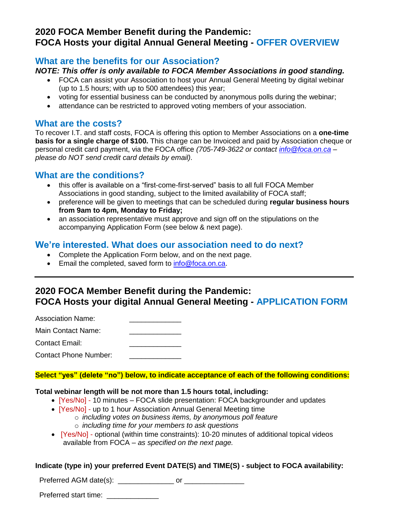## **2020 FOCA Member Benefit during the Pandemic: FOCA Hosts your digital Annual General Meeting - OFFER OVERVIEW**

#### **What are the benefits for our Association?**

#### *NOTE: This offer is only available to FOCA Member Associations in good standing.*

- FOCA can assist your Association to host your Annual General Meeting by digital webinar (up to 1.5 hours; with up to 500 attendees) this year;
- voting for essential business can be conducted by anonymous polls during the webinar;
- attendance can be restricted to approved voting members of your association.

#### **What are the costs?**

To recover I.T. and staff costs, FOCA is offering this option to Member Associations on a **one-time basis for a single charge of \$100.** This charge can be Invoiced and paid by Association cheque or personal credit card payment, via the FOCA office *(705-749-3622 or contact [info@foca.on.ca](mailto:info@foca.on.ca) – please do NOT send credit card details by email).*

### **What are the conditions?**

- this offer is available on a "first-come-first-served" basis to all full FOCA Member Associations in good standing, subject to the limited availability of FOCA staff;
- preference will be given to meetings that can be scheduled during **regular business hours from 9am to 4pm, Monday to Friday;**
- an association representative must approve and sign off on the stipulations on the accompanying Application Form (see below & next page).

### **We're interested. What does our association need to do next?**

- Complete the Application Form below, and on the next page.
- Email the completed, saved form to [info@foca.on.ca.](mailto:info@foca.on.ca)

# **2020 FOCA Member Benefit during the Pandemic: FOCA Hosts your digital Annual General Meeting - APPLICATION FORM**

Association Name:

Main Contact Name: Contact Email:

Contact Phone Number:

**Select "yes" (delete "no") below, to indicate acceptance of each of the following conditions:**

#### **Total webinar length will be not more than 1.5 hours total, including:**

- [Yes/No] 10 minutes FOCA slide presentation: FOCA backgrounder and updates
- [Yes/No] up to 1 hour Association Annual General Meeting time
	- o *including votes on business items, by anonymous poll feature*
		- o *including time for your members to ask questions*
- [Yes/No] optional (within time constraints): 10-20 minutes of additional topical videos available from FOCA – *as specified on the next page.*

#### **Indicate (type in) your preferred Event DATE(S) and TIME(S) - subject to FOCA availability:**

Preferred AGM date(s):  $\qquad \qquad \text{or}$ 

Preferred start time: \_\_\_\_\_\_\_\_\_\_\_\_